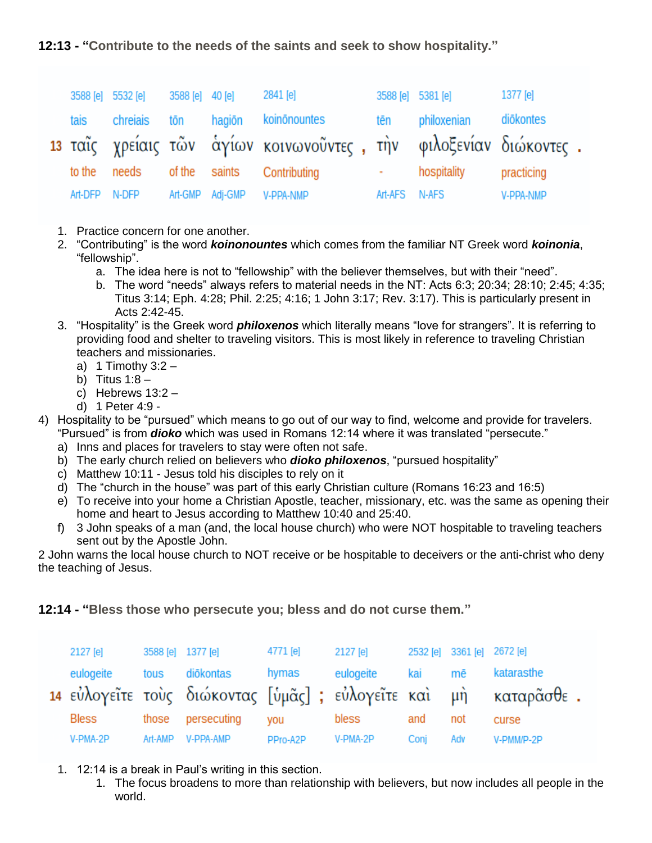**12:13 - "Contribute to the needs of the saints and seek to show hospitality."**

|               | 3588 [e] 5532 [e] | 3588 [e] 40 [e] |                 | 2841 [e]                                                          |                        | 3588 [e] 5381 [e]     | 1377 [e]   |  |
|---------------|-------------------|-----------------|-----------------|-------------------------------------------------------------------|------------------------|-----------------------|------------|--|
|               |                   |                 |                 | tais chreiais tōn hagiōn koinōnountes                             | <b>tēn</b>             | philoxenian diōkontes |            |  |
|               |                   |                 |                 | 13 ταΐς χρείαις τῶν άγίων κοινωνοῦντες, την φιλοξενίαν διώκοντες. |                        |                       |            |  |
| to the        | needs             |                 |                 | of the saints Contributing                                        | <b>All Corporation</b> | hospitality           | practicing |  |
| Art-DFP N-DFP |                   |                 | Art-GMP Adj-GMP | <b>V-PPA-NMP</b>                                                  | Art-AFS N-AFS          |                       | V-PPA-NMP  |  |

- 1. Practice concern for one another.
- 2. "Contributing" is the word *koinonountes* which comes from the familiar NT Greek word *koinonia*, "fellowship".
	- a. The idea here is not to "fellowship" with the believer themselves, but with their "need".
	- b. The word "needs" always refers to material needs in the NT: Acts 6:3; 20:34; 28:10; 2:45; 4:35; Titus 3:14; Eph. 4:28; Phil. 2:25; 4:16; 1 John 3:17; Rev. 3:17). This is particularly present in Acts 2:42-45.
- 3. "Hospitality" is the Greek word *philoxenos* which literally means "love for strangers". It is referring to providing food and shelter to traveling visitors. This is most likely in reference to traveling Christian teachers and missionaries.
	- a) 1 Timothy  $3:2 -$
	- b) Titus  $1:8-$
	- c) Hebrews  $13:2 -$
	- d) 1 Peter 4:9 -
- 4) Hospitality to be "pursued" which means to go out of our way to find, welcome and provide for travelers. "Pursued" is from *dioko* which was used in Romans 12:14 where it was translated "persecute."
	- a) Inns and places for travelers to stay were often not safe.
	- b) The early church relied on believers who *dioko philoxenos*, "pursued hospitality"
	- c) Matthew 10:11 Jesus told his disciples to rely on it
	- d) The "church in the house" was part of this early Christian culture (Romans 16:23 and 16:5)
	- e) To receive into your home a Christian Apostle, teacher, missionary, etc. was the same as opening their home and heart to Jesus according to Matthew 10:40 and 25:40.
	- f) 3 John speaks of a man (and, the local house church) who were NOT hospitable to traveling teachers sent out by the Apostle John.

2 John warns the local house church to NOT receive or be hospitable to deceivers or the anti-christ who deny the teaching of Jesus.

## **12:14 - "Bless those who persecute you; bless and do not curse them."**

| 2127 [e]  |         | 3588 [e] 1377 [e] | 4771 [e] | 2127 [e]  |      | 2532 [e] 3361 [e] 2672 [e] |                                                                 |
|-----------|---------|-------------------|----------|-----------|------|----------------------------|-----------------------------------------------------------------|
| eulogeite |         | tous diōkontas    | hymas    | eulogeite | kai  | mē                         | katarasthe                                                      |
|           |         |                   |          |           |      |                            | 14 εὐλογεῖτε τοὺς διώκοντας [ὑμᾶς]; εὐλογεῖτε καὶ μὴ καταρᾶσθε. |
| Bless     |         | those persecuting | vou      | bless     | and  | not                        | curse                                                           |
| V-PMA-2P  | Art-AMP | V-PPA-AMP         | PPro-A2P | V-PMA-2P  | Coni | Adv                        | V-PMM/P-2P                                                      |

- 1. 12:14 is a break in Paul's writing in this section.
	- 1. The focus broadens to more than relationship with believers, but now includes all people in the world.